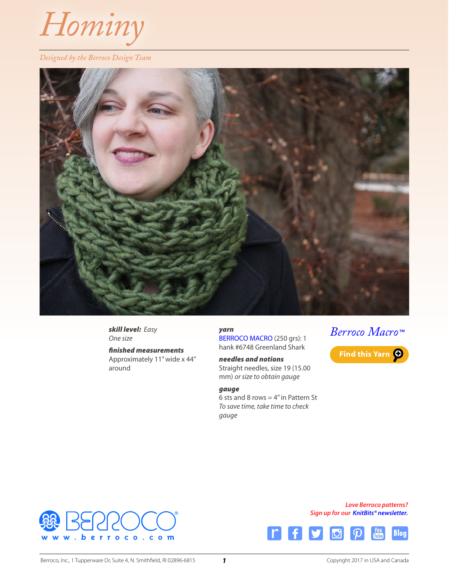

#### *Designed by the Berroco Design Team*



*skill level: Easy One size*

*finished measurements* Approximately 11" wide x 44" around

*yarn* [BERROCO MACRO](http://www.berroco.com/yarns/berroco-macro) (250 grs): 1 hank #6748 Greenland Shark

*needles and notions* Straight needles, size 19 (15.00 mm) *or size to obtain gauge*

#### *gauge*

6 sts and 8 rows  $=$  4" in Pattern St *To save time, take time to check gauge*



Find this Yarn O



*Love Berroco patterns? Sign up for our [KnitBits® newsletter](http://www.berroco.com/knitbits-newsletter).*